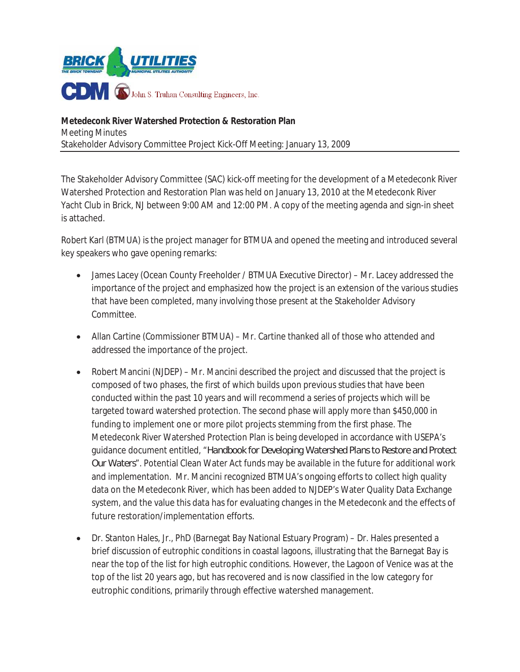

**Metedeconk River Watershed Protection & Restoration Plan**  Meeting Minutes Stakeholder Advisory Committee Project Kick-Off Meeting: January 13, 2009

The Stakeholder Advisory Committee (SAC) kick-off meeting for the development of a Metedeconk River Watershed Protection and Restoration Plan was held on January 13, 2010 at the Metedeconk River Yacht Club in Brick, NJ between 9:00 AM and 12:00 PM. A copy of the meeting agenda and sign-in sheet is attached.

Robert Karl (BTMUA) is the project manager for BTMUA and opened the meeting and introduced several key speakers who gave opening remarks:

- James Lacey (Ocean County Freeholder / BTMUA Executive Director) Mr. Lacey addressed the importance of the project and emphasized how the project is an extension of the various studies that have been completed, many involving those present at the Stakeholder Advisory Committee.
- Allan Cartine (Commissioner BTMUA) Mr. Cartine thanked all of those who attended and addressed the importance of the project.
- Robert Mancini (NJDEP) Mr. Mancini described the project and discussed that the project is composed of two phases, the first of which builds upon previous studies that have been conducted within the past 10 years and will recommend a series of projects which will be targeted toward watershed protection. The second phase will apply more than \$450,000 in funding to implement one or more pilot projects stemming from the first phase. The Metedeconk River Watershed Protection Plan is being developed in accordance with USEPA's guidance document entitled, "*Handbook for Developing Watershed Plans to Restore and Protect Our Waters*". Potential Clean Water Act funds may be available in the future for additional work and implementation. Mr. Mancini recognized BTMUA's ongoing efforts to collect high quality data on the Metedeconk River, which has been added to NJDEP's Water Quality Data Exchange system, and the value this data has for evaluating changes in the Metedeconk and the effects of future restoration/implementation efforts.
- Dr. Stanton Hales, Jr., PhD (Barnegat Bay National Estuary Program) Dr. Hales presented a brief discussion of eutrophic conditions in coastal lagoons, illustrating that the Barnegat Bay is near the top of the list for high eutrophic conditions. However, the Lagoon of Venice was at the top of the list 20 years ago, but has recovered and is now classified in the low category for eutrophic conditions, primarily through effective watershed management.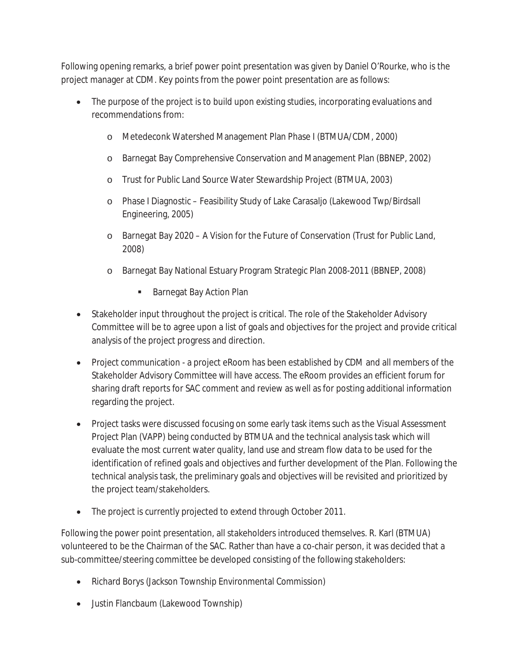Following opening remarks, a brief power point presentation was given by Daniel O'Rourke, who is the project manager at CDM. Key points from the power point presentation are as follows:

- The purpose of the project is to build upon existing studies, incorporating evaluations and recommendations from:
	- o Metedeconk Watershed Management Plan Phase I (BTMUA/CDM, 2000)
	- o Barnegat Bay Comprehensive Conservation and Management Plan (BBNEP, 2002)
	- o Trust for Public Land Source Water Stewardship Project (BTMUA, 2003)
	- o Phase I Diagnostic Feasibility Study of Lake Carasaljo (Lakewood Twp/Birdsall Engineering, 2005)
	- o Barnegat Bay 2020 A Vision for the Future of Conservation (Trust for Public Land, 2008)
	- o Barnegat Bay National Estuary Program Strategic Plan 2008-2011 (BBNEP, 2008)
		- **Barnegat Bay Action Plan**
- Stakeholder input throughout the project is critical. The role of the Stakeholder Advisory Committee will be to agree upon a list of goals and objectives for the project and provide critical analysis of the project progress and direction.
- Project communication a project eRoom has been established by CDM and all members of the Stakeholder Advisory Committee will have access. The eRoom provides an efficient forum for sharing draft reports for SAC comment and review as well as for posting additional information regarding the project.
- Project tasks were discussed focusing on some early task items such as the Visual Assessment Project Plan (VAPP) being conducted by BTMUA and the technical analysis task which will evaluate the most current water quality, land use and stream flow data to be used for the identification of refined goals and objectives and further development of the Plan. Following the technical analysis task, the preliminary goals and objectives will be revisited and prioritized by the project team/stakeholders.
- The project is currently projected to extend through October 2011.

Following the power point presentation, all stakeholders introduced themselves. R. Karl (BTMUA) volunteered to be the Chairman of the SAC. Rather than have a co-chair person, it was decided that a sub-committee/steering committee be developed consisting of the following stakeholders:

- Richard Borys (Jackson Township Environmental Commission)
- Justin Flancbaum (Lakewood Township)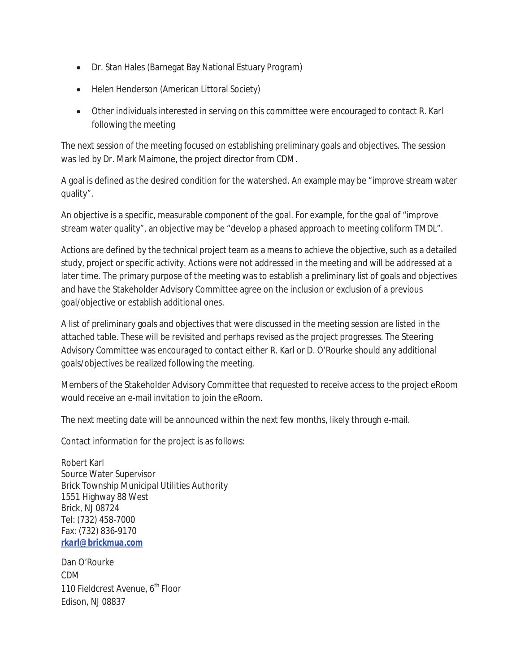- Dr. Stan Hales (Barnegat Bay National Estuary Program)
- Helen Henderson (American Littoral Society)
- Other individuals interested in serving on this committee were encouraged to contact R. Karl following the meeting

The next session of the meeting focused on establishing preliminary goals and objectives. The session was led by Dr. Mark Maimone, the project director from CDM.

A goal is defined as the desired condition for the watershed. An example may be "improve stream water quality".

An objective is a specific, measurable component of the goal. For example, for the goal of "improve stream water quality", an objective may be "develop a phased approach to meeting coliform TMDL".

Actions are defined by the technical project team as a means to achieve the objective, such as a detailed study, project or specific activity. Actions were not addressed in the meeting and will be addressed at a later time. The primary purpose of the meeting was to establish a preliminary list of goals and objectives and have the Stakeholder Advisory Committee agree on the inclusion or exclusion of a previous goal/objective or establish additional ones.

A list of preliminary goals and objectives that were discussed in the meeting session are listed in the attached table. These will be revisited and perhaps revised as the project progresses. The Steering Advisory Committee was encouraged to contact either R. Karl or D. O'Rourke should any additional goals/objectives be realized following the meeting.

Members of the Stakeholder Advisory Committee that requested to receive access to the project eRoom would receive an e-mail invitation to join the eRoom.

The next meeting date will be announced within the next few months, likely through e-mail.

Contact information for the project is as follows:

Robert Karl Source Water Supervisor Brick Township Municipal Utilities Authority 1551 Highway 88 West Brick, NJ 08724 Tel: (732) 458-7000 Fax: (732) 836-9170 *rkarl@brickmua.com*

Dan O'Rourke CDM 110 Fieldcrest Avenue, 6<sup>th</sup> Floor Edison, NJ 08837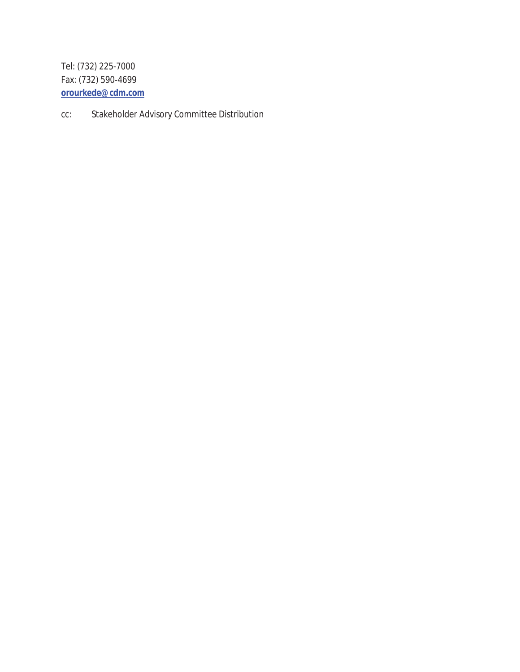Tel: (732) 225-7000 Fax: (732) 590-4699 *orourkede@cdm.com*

cc: Stakeholder Advisory Committee Distribution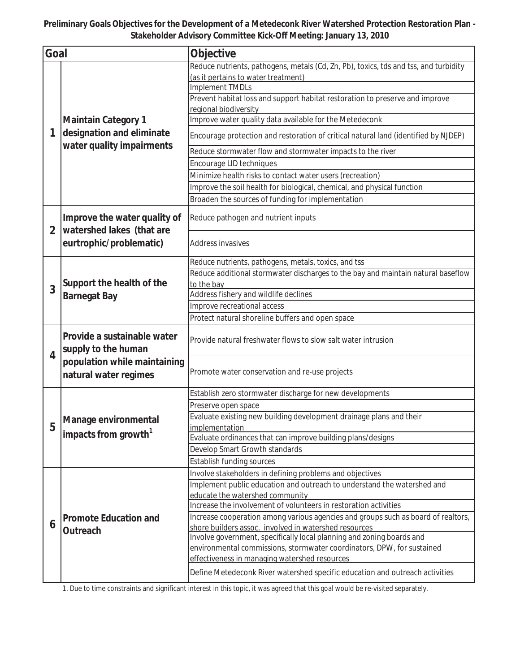**Preliminary Goals Objectives for the Development of a Metedeconk River Watershed Protection Restoration Plan - Stakeholder Advisory Committee Kick-Off Meeting: January 13, 2010**

| Goal           |                                                                                      | Objective                                                                                                                                  |  |  |
|----------------|--------------------------------------------------------------------------------------|--------------------------------------------------------------------------------------------------------------------------------------------|--|--|
|                |                                                                                      | Reduce nutrients, pathogens, metals (Cd, Zn, Pb), toxics, tds and tss, and turbidity                                                       |  |  |
|                |                                                                                      | (as it pertains to water treatment)                                                                                                        |  |  |
|                | <b>Maintain Category 1</b><br>designation and eliminate<br>water quality impairments | Implement TMDLs                                                                                                                            |  |  |
|                |                                                                                      | Prevent habitat loss and support habitat restoration to preserve and improve<br>regional biodiversity                                      |  |  |
|                |                                                                                      | Improve water quality data available for the Metedeconk                                                                                    |  |  |
| 1              |                                                                                      | Encourage protection and restoration of critical natural land (identified by NJDEP)                                                        |  |  |
|                |                                                                                      | Reduce stormwater flow and stormwater impacts to the river                                                                                 |  |  |
|                |                                                                                      | Encourage LID techniques                                                                                                                   |  |  |
|                |                                                                                      | Minimize health risks to contact water users (recreation)                                                                                  |  |  |
|                |                                                                                      | Improve the soil health for biological, chemical, and physical function                                                                    |  |  |
|                |                                                                                      | Broaden the sources of funding for implementation                                                                                          |  |  |
|                | Improve the water quality of<br>watershed lakes (that are<br>eurtrophic/problematic) | Reduce pathogen and nutrient inputs                                                                                                        |  |  |
| $\overline{2}$ |                                                                                      | Address invasives                                                                                                                          |  |  |
|                |                                                                                      | Reduce nutrients, pathogens, metals, toxics, and tss                                                                                       |  |  |
|                |                                                                                      | Reduce additional stormwater discharges to the bay and maintain natural baseflow                                                           |  |  |
| 3              | Support the health of the<br><b>Barnegat Bay</b>                                     | to the bay                                                                                                                                 |  |  |
|                |                                                                                      | Address fishery and wildlife declines                                                                                                      |  |  |
|                |                                                                                      | Improve recreational access                                                                                                                |  |  |
|                |                                                                                      | Protect natural shoreline buffers and open space                                                                                           |  |  |
| 4              | Provide a sustainable water<br>supply to the human                                   | Provide natural freshwater flows to slow salt water intrusion                                                                              |  |  |
|                | population while maintaining<br>natural water regimes                                | Promote water conservation and re-use projects                                                                                             |  |  |
|                |                                                                                      | Establish zero stormwater discharge for new developments                                                                                   |  |  |
|                | Manage environmental<br>impacts from growth <sup>1</sup>                             | Preserve open space                                                                                                                        |  |  |
|                |                                                                                      | Evaluate existing new building development drainage plans and their                                                                        |  |  |
| 5              |                                                                                      | implementation                                                                                                                             |  |  |
|                |                                                                                      | Evaluate ordinances that can improve building plans/designs                                                                                |  |  |
|                |                                                                                      | Develop Smart Growth standards                                                                                                             |  |  |
|                |                                                                                      | Establish funding sources                                                                                                                  |  |  |
|                |                                                                                      | Involve stakeholders in defining problems and objectives                                                                                   |  |  |
|                |                                                                                      | Implement public education and outreach to understand the watershed and                                                                    |  |  |
|                | <b>Promote Education and</b><br>Outreach                                             | educate the watershed community<br>Increase the involvement of volunteers in restoration activities                                        |  |  |
|                |                                                                                      |                                                                                                                                            |  |  |
| 6              |                                                                                      | Increase cooperation among various agencies and groups such as board of realtors,<br>shore builders assoc. involved in watershed resources |  |  |
|                |                                                                                      | Involve government, specifically local planning and zoning boards and                                                                      |  |  |
|                |                                                                                      | environmental commissions, stormwater coordinators, DPW, for sustained                                                                     |  |  |
|                |                                                                                      | effectiveness in managing watershed resources                                                                                              |  |  |
|                |                                                                                      | Define Metedeconk River watershed specific education and outreach activities                                                               |  |  |
|                |                                                                                      |                                                                                                                                            |  |  |

1. Due to time constraints and significant interest in this topic, it was agreed that this goal would be re-visited separately.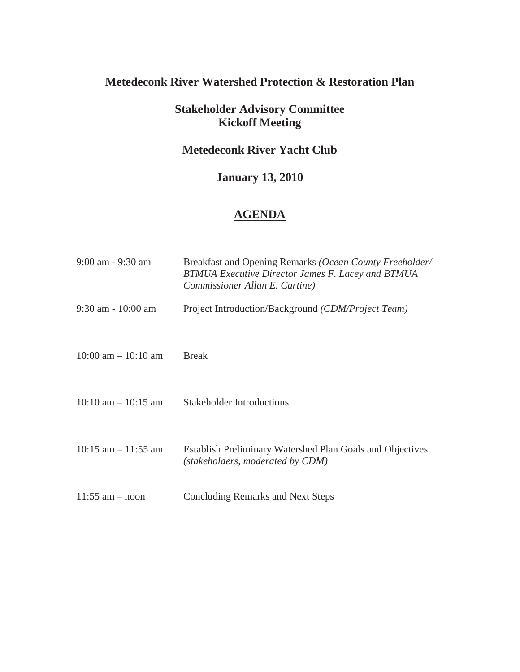# **Metedeconk River Watershed Protection & Restoration Plan**

### **Stakeholder Advisory Committee Kickoff Meeting**

### **Metedeconk River Yacht Club**

## **January 13, 2010**

## **AGENDA**

| $9:00$ am $-9:30$ am    | Breakfast and Opening Remarks (Ocean County Freeholder/<br><b>BTMUA Executive Director James F. Lacey and BTMUA</b><br>Commissioner Allan E. Cartine) |
|-------------------------|-------------------------------------------------------------------------------------------------------------------------------------------------------|
| $9:30$ am $-10:00$ am   | Project Introduction/Background (CDM/Project Team)                                                                                                    |
| $10:00$ am $-10:10$ am  | <b>Break</b>                                                                                                                                          |
| $10:10$ am $- 10:15$ am | <b>Stakeholder Introductions</b>                                                                                                                      |
| $10:15$ am $-11:55$ am  | Establish Preliminary Watershed Plan Goals and Objectives<br>(stakeholders, moderated by CDM)                                                         |
| $11:55$ am $-$ noon     | <b>Concluding Remarks and Next Steps</b>                                                                                                              |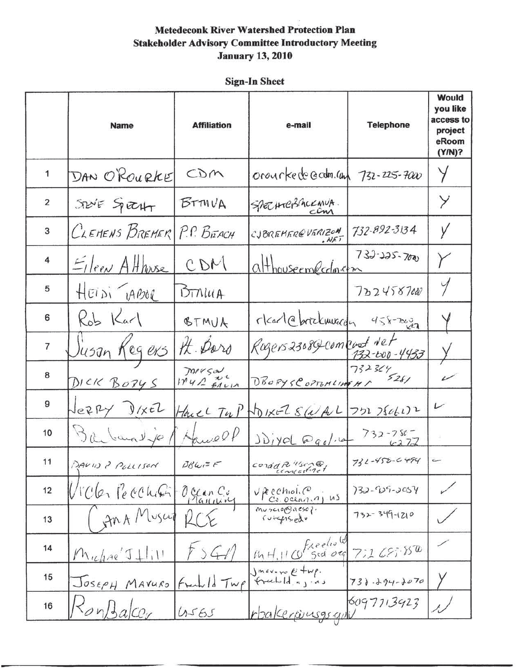|                | <b>Name</b>                  | <b>Affiliation</b>    | e-mail                                        | <b>Telephone</b>    | Would<br>you like<br>access to<br>project<br>eRoom<br>(Y/N)? |
|----------------|------------------------------|-----------------------|-----------------------------------------------|---------------------|--------------------------------------------------------------|
| 1              | DAN O'ROURKE                 | CDM                   | orourkede Gram. Com 732-225-7000              |                     | Y                                                            |
| $\overline{2}$ | $Solve$ Spectro              | $BTM \vee A$          | SPECHTERACKANA.                               |                     | Y                                                            |
| 3              | CLEMENS BREMER P.P. BEACH    |                       | CJBREMEREVERIZON<br>MET                       | 732-892-3134        | У                                                            |
| 4              | $E$ / $ e_{\ell N}A$ Hhuse   | CDM                   | althouseemecclosem                            | $733 - 225 - 700$   |                                                              |
| 5              | HEIDI JABOR                  | DTNU(A)               |                                               | 7224587000          | $\gamma$                                                     |
| 6              | $Rob$ Karl                   | BTMUA                 | rkad@brickmurgh 458-2002                      |                     |                                                              |
| $\overline{7}$ | <u>Jusan Kegers</u>          | Ht. Paro              | Rogers23089 comport Net                       | 132-600-4433        |                                                              |
| 8              | DICK BORYS                   | Tarrson<br>IN41 EALIA | DBORYSCOPTOMLINGHI 5281                       |                     | $\overline{\phantom{a}}$                                     |
| 9              | JERRY DIXEL                  |                       | Have $T_{42}P$ NO IXEL $S(a A L)$ 751 75061)2 |                     | $\overline{\phantom{a}}$                                     |
| 10             | Barbaralyo                   | Hawell                | $J\dot{D}$ iyol @gol.6                        | $732 - 780$<br>4272 |                                                              |
| 11             | DAVID ? POLLISON             | $BBW = F$             | $cond$ $R$ "screet                            | 732-458-6494        | $\overline{\phantom{a}}$                                     |
| 12             | Victor Pecchin               | Ocean Cu              | VREChiol.<br>$c_{\epsilon,0}$ ceann $s$       | $732 - 129 - 3054$  |                                                              |
| 13             | An A Muscut                  | 2C                    | muscroonesc?.<br>$f$ utgisiedu                | $732 - 349 - 1210$  |                                                              |
| 14             | $M$ uchne $J+1$              | 41                    | freelight<br>Sid og<br>IMH, H                 | 7:165.850           |                                                              |
| 15             | JOSEPH MAVURO                |                       | Fredeld Twp Smaving Etup.                     | $738.294 - 2070$    |                                                              |
| 16             | 50y/5<br>$a$ ce <sub>r</sub> | 4565                  | <u>rbalceriusgs qui</u>                       | 6097713923          |                                                              |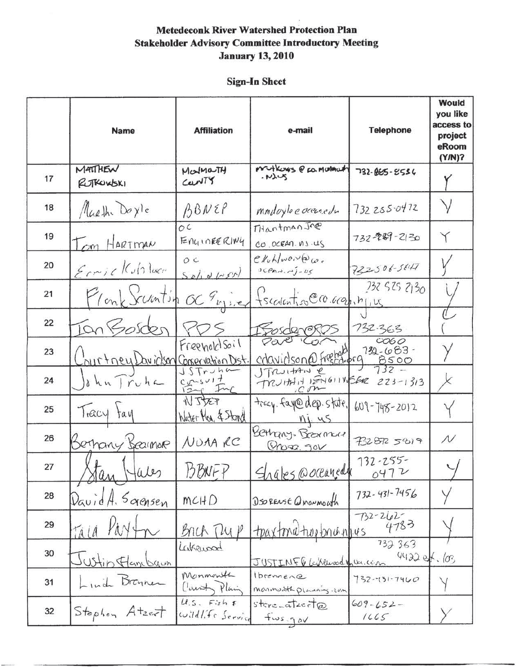|    | <b>Name</b>                         | <b>Affiliation</b>                 | e-mail                                                        | <b>Telephone</b>                            | <b>Would</b><br>you like<br>access to<br>project<br>eRoom<br>$(Y/N)$ ? |
|----|-------------------------------------|------------------------------------|---------------------------------------------------------------|---------------------------------------------|------------------------------------------------------------------------|
| 17 | MATTHEN<br>RUTKUKSKI                | MONMONTH<br>CONTY                  | Matkours @ CO. MORMOUTH<br>MMS                                | 732-065-5556                                |                                                                        |
| 18 | Martha Doyle                        | ABNEP                              | mindoyle e oceanedu                                           | 732255.0472                                 | $\vee$                                                                 |
| 19 | Tom HARTMAN                         | $\overline{OC}$<br>ENGINEERING     | THantmanJre<br>CO. OCEAN. NS.US                               | 732-229-2130                                | Y                                                                      |
| 20 | Errickshave                         | OC<br>$Sol_{1}dLST$                | $e$ <i>k</i> uh/work $\omega_a$<br>$0<\rho_{max}, \rho_{max}$ | 722506-5847                                 |                                                                        |
| 21 | Flonk Schntin OC Engine             |                                    | fsection occurring                                            | 732 525 2130                                |                                                                        |
| 22 | Ian So.                             |                                    | Sosdereros                                                    | 732.363                                     |                                                                        |
| 23 | ourtney Davidson Conservation Dist. | FreeholdSoil                       | Pare<br>cravidson@freela.org                                  | 0000<br>$732 - 683 -$<br>$\frac{8500}{732}$ |                                                                        |
| 24 | dhnTruhc                            | STrJh<br>$\frac{124}{124}$<br>Inc  | JTRUITAN e<br>TRUHAN PENGINASER 223-1313                      |                                             | X                                                                      |
| 25 | Tracy tay                           | NJJEP<br>Water Man, & Stand        | tracy. fay@dep.state.<br>n <sub>4</sub>                       | $609 - 748 - 2012$                          |                                                                        |
| 26 | Bernary Bearmore                    | NUAA RC                            | Bethany. Breamer<br>$Qn$ $q2.90V$                             | 7328725819                                  | $\cal N$                                                               |
| 27 | Stan K<br>Hales                     | <b>BBNFP</b>                       | Shales @ oceanedy                                             | $732 - 255 -$<br>0472                       |                                                                        |
| 28 | $D$ avid $A$ , Saensen              | MCHD                               | DSO REASE Q MONMOLITA                                         | $732 - 431 - 7456$                          |                                                                        |
| 29 | TALA                                | Brick Tup                          | toaxtonative brunhus                                          | $732 - 262$<br>4783                         |                                                                        |
| 30 | Justin Handson                      | Lakewood                           | JUSTINF 6 Lakewoodynumen                                      | 732 363<br>$44220 + 103$                    |                                                                        |
| 31 | Lind Braner                         | Monmonth<br>Claunt Plain           | Ibremence<br>monmouth planning , com                          | $732 - 131 - 7460$                          |                                                                        |
| 32 | Stephen Atzert                      | $U.5.$ $Fishf$<br>Wildlife Service | $stere_atzeata$<br>$fws \eta_{\delta}v$                       | $609 - 652 -$<br>1665                       |                                                                        |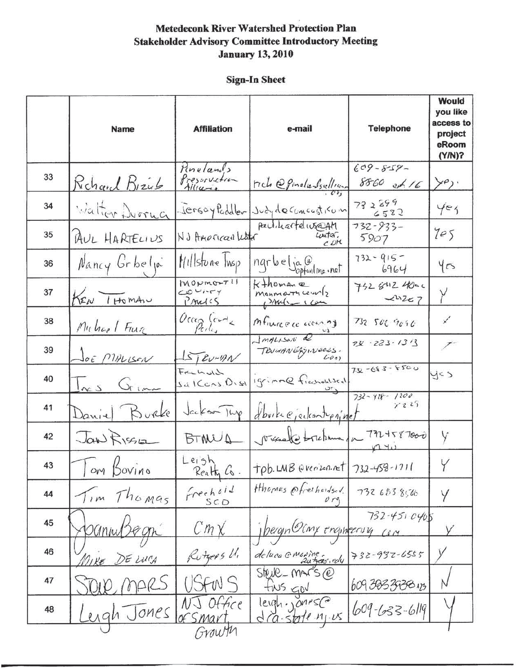|    | <b>Name</b>            | <b>Affiliation</b>                   | e-mail                                                                                                                                                                                                                                                                                                                                                                                                                                                                                  | <b>Telephone</b>                   | Would<br>you like<br>access to<br>project<br>eRoom<br>(Y/N)? |
|----|------------------------|--------------------------------------|-----------------------------------------------------------------------------------------------------------------------------------------------------------------------------------------------------------------------------------------------------------------------------------------------------------------------------------------------------------------------------------------------------------------------------------------------------------------------------------------|------------------------------------|--------------------------------------------------------------|
| 33 | Richard Bizub          | Pinelands<br>Presorvation            | rich @ ginelansullion                                                                                                                                                                                                                                                                                                                                                                                                                                                                   | $609 - 859 -$<br>$8860$ et 16      | $\succ^{\rho}$ .                                             |
| 34 | Walter Durrug          |                                      | Jersoy Paddler Judy de concesticon                                                                                                                                                                                                                                                                                                                                                                                                                                                      | 732599<br>6582                     | Yez                                                          |
| 35 | AUL HARTELIUS          | NJ Amorican Lister                   | peulikarteliuseam<br>unter.<br>CDM                                                                                                                                                                                                                                                                                                                                                                                                                                                      | 732-933-<br>5907                   | 7e5                                                          |
| 36 | Nancy Grbella          | <i>Hillstone</i> Twsp                | nqrbe ja@<br>optonline · not                                                                                                                                                                                                                                                                                                                                                                                                                                                            | $732 - 915 -$<br>6964              | yes                                                          |
| 37 | KEN THOMAN             | $M0mm0+711$<br>$COV$ $IV$<br>PARILLS | $k+$ homane<br>monnarrices<br>$DMH - 104$                                                                                                                                                                                                                                                                                                                                                                                                                                               | 7328424000<br>$x^{1/2}$            | Y                                                            |
| 38 | Muhael Fun             | $0$ ccan (code                       | mfiurece account                                                                                                                                                                                                                                                                                                                                                                                                                                                                        | 732 506 9090                       | $\checkmark$                                                 |
| 39 | JOE MALLSON            | $LSTev-mv$                           | ImpLison 2<br>TRUMANGRY NEOLS.                                                                                                                                                                                                                                                                                                                                                                                                                                                          | $7x - 223 - 1313$                  | T,                                                           |
| 40 | $\frac{1}{x}$ s Gim    | Fransıd<br>$s$ al Cons. O. sa        | Igrimme ficanohlised                                                                                                                                                                                                                                                                                                                                                                                                                                                                    | $72 - 683 - 8500$                  | y < 5                                                        |
| 41 | Daniel Burke           | Jackson Tup                          | House ejected up ninet                                                                                                                                                                                                                                                                                                                                                                                                                                                                  | $732 - 428 - 1200$<br>$\times 225$ |                                                              |
| 42 | Jan RISSE              | BTINUA                               | visuale trebuma pa 7724587000                                                                                                                                                                                                                                                                                                                                                                                                                                                           |                                    | Y                                                            |
| 43 | om Bovino              | Leigh.<br>Realty Co.                 | $\lceil \frac{1}{10b} \cdot \text{LMB} \cdot \text{V} \cdot \text{V} \cdot \text{V} \cdot \text{V} \cdot \text{V} \cdot \text{V} \cdot \text{V} \cdot \text{V} \cdot \text{V} \cdot \text{V} \cdot \text{V} \cdot \text{V} \cdot \text{V} \cdot \text{V} \cdot \text{V} \cdot \text{V} \cdot \text{V} \cdot \text{V} \cdot \text{V} \cdot \text{V} \cdot \text{V} \cdot \text{V} \cdot \text{V} \cdot \text{V} \cdot \text{V} \cdot \text{V} \cdot \text{V} \cdot \text{V} \cdot \text$ |                                    | Y                                                            |
| 44 | Thomas<br>$7 \, \mu m$ | frechoid<br>SCD                      | Hhomas Ofrechondsed.                                                                                                                                                                                                                                                                                                                                                                                                                                                                    | 732 683 8566                       | Y                                                            |
| 45 | OGniw                  | $Cm\chi$                             | Jeergn Ocny enqueering                                                                                                                                                                                                                                                                                                                                                                                                                                                                  | $732 - 4510405$                    |                                                              |
| 46 | TIKE DE LUGA           | Rutgers U.                           | deluca @marine.                                                                                                                                                                                                                                                                                                                                                                                                                                                                         | 732-937-6555                       |                                                              |
| 47 | mars                   | JFW S                                | $Stelle$ -MArS $@$<br>fins gov                                                                                                                                                                                                                                                                                                                                                                                                                                                          | 60938339384                        |                                                              |
| 48 | ergh Jones             | Office                               | leigh., ones (a)<br>$d$ (a - state $n_1$ $\nu s$ )                                                                                                                                                                                                                                                                                                                                                                                                                                      | $609 - 633 - 6119$                 |                                                              |
|    |                        | Growth                               |                                                                                                                                                                                                                                                                                                                                                                                                                                                                                         |                                    |                                                              |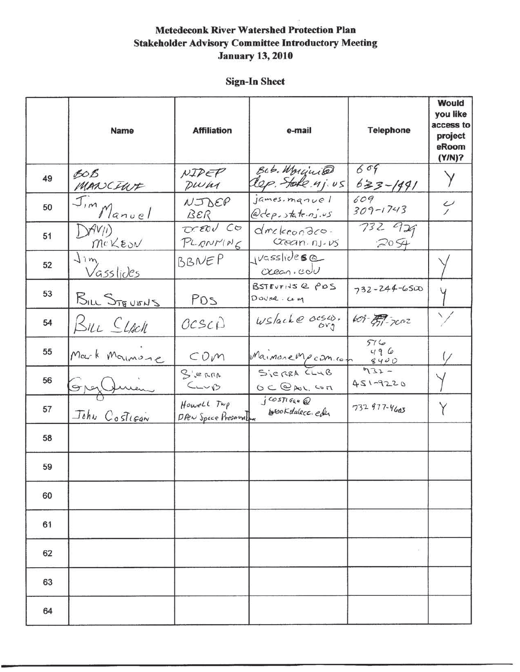|    | <b>Name</b>           | <b>Affiliation</b>                   | e-mail                                                 | <b>Telephone</b>    | Would<br>you like<br>access to<br>project<br>eRoom<br>(Y/N)? |
|----|-----------------------|--------------------------------------|--------------------------------------------------------|---------------------|--------------------------------------------------------------|
| 49 | BOB<br>MANCIUT        | NIDER<br>DWW                         | Bob. Morginia<br>Rep. Stake 4j. us                     | 609<br>$633 - 1491$ |                                                              |
| 50 | Jim Manuel            | $N\mathcal{IDEP}$<br>BER             | james. manuel<br>@dep.state.nj.us                      | 609<br>$309 - 1743$ | $\frac{\nu}{\nu}$                                            |
| 51 | DAVI)<br>MCKEON       | DERU CO<br>PLONNING                  | drekeondro.<br>Ccean. nj. v5                           | 732 929<br>2054     |                                                              |
| 52 | $\sum m$<br>Vasslides | BBNEP                                | $1455liole$ se<br>${\rm C}$ ccan.cov                   |                     |                                                              |
| 53 | BILL STEVENS          | POS                                  | BSTEUFINS @ PDS<br>DOVER. COM                          | $732 - 244 - 6500$  |                                                              |
| 54 | BILL <i>CLACK</i>     | OCSCD                                | $ws/ack$ $\theta$ $\frac{\partial cs}{\partial y_3}$ . | $609 - 7002$        | $\searrow$                                                   |
| 55 | Mark Moumone          | COM                                  | MaimoreMpcom.com                                       | 516<br>496<br>8400  | $\frac{1}{2}$                                                |
| 56 | Grez Jum              | S'erRA<br>$C_{L} \vee C$             | SieRRA CLUB<br>$OCDAL,$ $C\circ n$                     | $932 -$<br>451-9220 |                                                              |
| 57 | John Costigan         | Howell Twp<br>DPEN Space Preservalum | GOSTIGAN @<br>brookdalecc.com                          | 732 977-4603        | Y                                                            |
| 58 |                       |                                      |                                                        |                     |                                                              |
| 59 |                       |                                      |                                                        |                     |                                                              |
| 60 |                       |                                      |                                                        |                     |                                                              |
| 61 |                       |                                      |                                                        |                     |                                                              |
| 62 |                       |                                      |                                                        | $\overline{a}$ (    |                                                              |
| 63 |                       |                                      |                                                        |                     |                                                              |
| 64 |                       |                                      |                                                        |                     |                                                              |